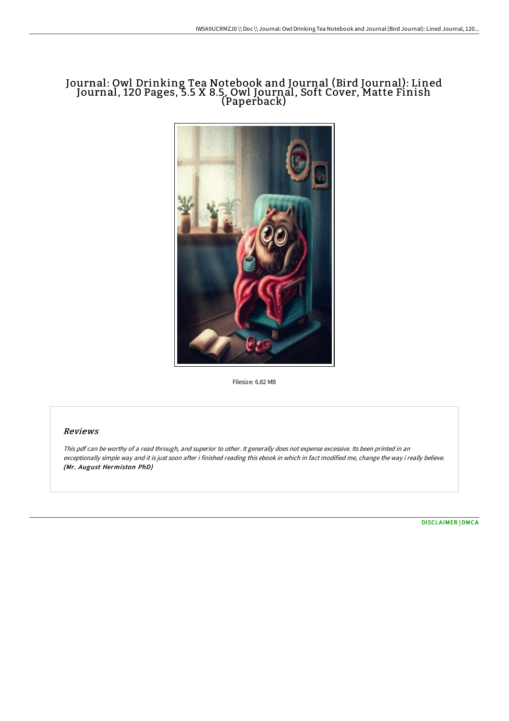# Journal: Owl Drinking Tea Notebook and Journal (Bird Journal): Lined Journal, 120 Pages, 5.5 X 8.5, Owl Journal, Soft Cover, Matte Finish (Paperback)



Filesize: 6.82 MB

### Reviews

This pdf can be worthy of <sup>a</sup> read through, and superior to other. It generally does not expense excessive. Its been printed in an exceptionally simple way and it is just soon after i finished reading this ebook in which in fact modified me, change the way i really believe. (Mr. August Hermiston PhD)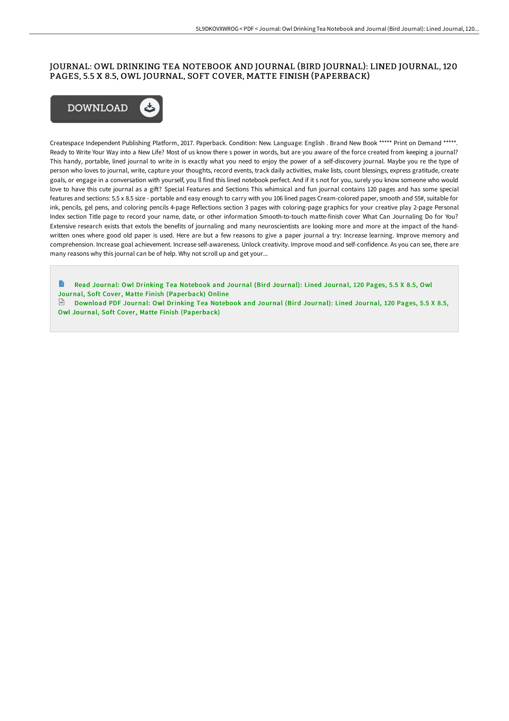## JOURNAL: OWL DRINKING TEA NOTEBOOK AND JOURNAL (BIRD JOURNAL): LINED JOURNAL, 120 PAGES, 5.5 X 8.5, OWL JOURNAL, SOFT COVER, MATTE FINISH (PAPERBACK)



Createspace Independent Publishing Platform, 2017. Paperback. Condition: New. Language: English . Brand New Book \*\*\*\*\* Print on Demand \*\*\*\*\*. Ready to Write Your Way into a New Life? Most of us know there s power in words, but are you aware of the force created from keeping a journal? This handy, portable, lined journal to write in is exactly what you need to enjoy the power of a self-discovery journal. Maybe you re the type of person who loves to journal, write, capture your thoughts, record events, track daily activities, make lists, count blessings, express gratitude, create goals, or engage in a conversation with yourself, you ll find this lined notebook perfect. And if it s not for you, surely you know someone who would love to have this cute journal as a gift? Special Features and Sections This whimsical and fun journal contains 120 pages and has some special features and sections: 5.5 x 8.5 size - portable and easy enough to carry with you 106 lined pages Cream-colored paper, smooth and 55#, suitable for ink, pencils, gel pens, and coloring pencils 4-page Reflections section 3 pages with coloring-page graphics for your creative play 2-page Personal Index section Title page to record your name, date, or other information Smooth-to-touch matte-finish cover What Can Journaling Do for You? Extensive research exists that extols the benefits of journaling and many neuroscientists are looking more and more at the impact of the handwritten ones where good old paper is used. Here are but a few reasons to give a paper journal a try: Increase learning. Improve memory and comprehension. Increase goal achievement. Increase self-awareness. Unlock creativity. Improve mood and self-confidence. As you can see, there are many reasons why this journal can be of help. Why not scroll up and get your...

Read Journal: Owl Drinking Tea Notebook and Journal (Bird Journal): Lined Journal, 120 Pages, 5.5 X 8.5, Owl Journal, Soft Cover, Matte Finish [\(Paperback\)](http://albedo.media/journal-owl-drinking-tea-notebook-and-journal-bi.html) Online

Download PDF Journal: Owl Drinking Tea Notebook and Journal (Bird Journal): Lined Journal, 120 Pages, 5.5 X 8.5, Owl Journal, Soft Cover, Matte Finish [\(Paperback\)](http://albedo.media/journal-owl-drinking-tea-notebook-and-journal-bi.html)